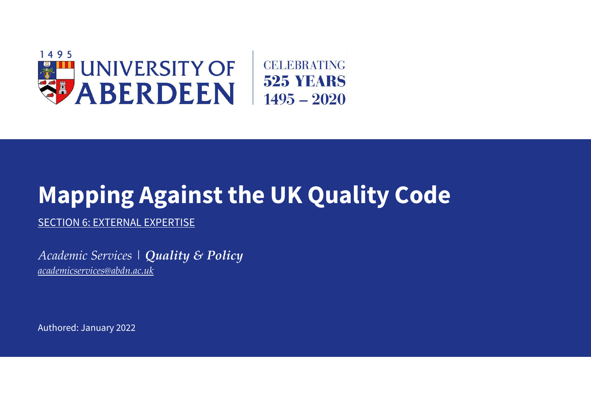

## **Mapping Against the UK Quality Code**

SECTION 6: EXTERNAL EXPERTISE

*Academic Services | Quality & Policy [academicservices@abdn.ac.uk](mailto:academicservices@abdn.ac.uk)*

Authored: January 2022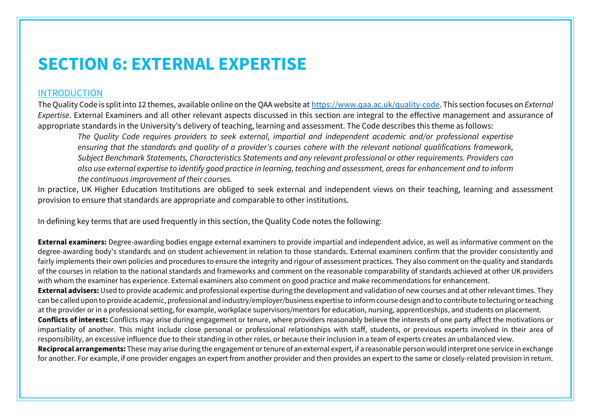## **SECTION 6: EXTERNAL EXPERTISE**

## INTRODUCTION

The Quality Code is split into 12 themes, available online on the QAA website at [https://www.qaa.ac.uk/quality-code.](https://www.qaa.ac.uk/quality-code) This section focuses on *External Expertise*. External Examiners and all other relevant aspects discussed in this section are integral to the effective management and assurance of appropriate standards in the University's delivery of teaching, learning and assessment. The Code describes this theme as follows:

*The Quality Code requires providers to seek external, impartial and independent academic and/or professional expertise ensuring that the standards and quality of a provider's courses cohere with the relevant national qualifications framework, Subject Benchmark Statements, Characteristics Statements and any relevant professional or other requirements. Providers can also use external expertise to identify good practice in learning, teaching and assessment, areas for enhancement and to inform the continuous improvement of their courses.*

In practice, UK Higher Education Institutions are obliged to seek external and independent views on their teaching, learning and assessment provision to ensure that standards are appropriate and comparable to other institutions.

In defining key terms that are used frequently in this section, the Quality Code notes the following:

**External examiners:** Degree-awarding bodies engage external examiners to provide impartial and independent advice, as well as informative comment on the degree-awarding body's standards and on student achievement in relation to those standards. External examiners confirm that the provider consistently and fairly implements their own policies and procedures to ensure the integrity and rigour of assessment practices. They also comment on the quality and standards of the courses in relation to the national standards and frameworks and comment on the reasonable comparability of standards achieved at other UK providers with whom the examiner has experience. External examiners also comment on good practice and make recommendations for enhancement.

**External advisers:** Used to provide academic and professional expertise during the development and validation of new courses and at other relevant times. They can be called upon to provide academic, professional and industry/employer/business expertise to inform course design and to contribute to lecturing or teaching at the provider or in a professional setting, for example, workplace supervisors/mentors for education, nursing, apprenticeships, and students on placement.

**Conflicts of interest:** Conflicts may arise during engagement or tenure, where providers reasonably believe the interests of one party affect the motivations or impartiality of another. This might include close personal or professional relationships with staff, students, or previous experts involved in their area of responsibility, an excessive influence due to their standing in other roles, or because their inclusion in a team of experts creates an unbalanced view.

**Reciprocal arrangements:** These may arise during the engagement or tenure of an external expert, if a reasonable person would interpret one service in exchange for another. For example, if one provider engages an expert from another provider and then provides an expert to the same or closely-related provision in return.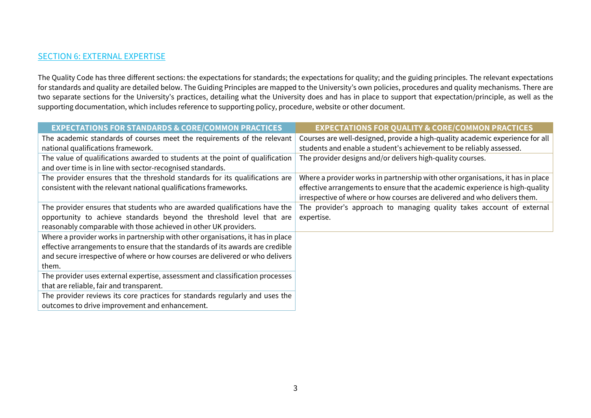## **SECTION 6: EXTERNAL EXPERTISE**

The Quality Code has three different sections: the expectations for standards; the expectations for quality; and the guiding principles. The relevant expectations for standards and quality are detailed below. The Guiding Principles are mapped to the University's own policies, procedures and quality mechanisms. There are two separate sections for the University's practices, detailing what the University does and has in place to support that expectation/principle, as well as the supporting documentation, which includes reference to supporting policy, procedure, website or other document.

| <b>EXPECTATIONS FOR STANDARDS &amp; CORE/COMMON PRACTICES</b>                   | <b>EXPECTATIONS FOR QUALITY &amp; CORE/COMMON PRACTICES</b>                     |
|---------------------------------------------------------------------------------|---------------------------------------------------------------------------------|
| The academic standards of courses meet the requirements of the relevant         | Courses are well-designed, provide a high-quality academic experience for all   |
| national qualifications framework.                                              | students and enable a student's achievement to be reliably assessed.            |
| The value of qualifications awarded to students at the point of qualification   | The provider designs and/or delivers high-quality courses.                      |
| and over time is in line with sector-recognised standards.                      |                                                                                 |
| The provider ensures that the threshold standards for its qualifications are    | Where a provider works in partnership with other organisations, it has in place |
| consistent with the relevant national qualifications frameworks.                | effective arrangements to ensure that the academic experience is high-quality   |
|                                                                                 | irrespective of where or how courses are delivered and who delivers them.       |
| The provider ensures that students who are awarded qualifications have the      | The provider's approach to managing quality takes account of external           |
| opportunity to achieve standards beyond the threshold level that are            | expertise.                                                                      |
| reasonably comparable with those achieved in other UK providers.                |                                                                                 |
| Where a provider works in partnership with other organisations, it has in place |                                                                                 |
| effective arrangements to ensure that the standards of its awards are credible  |                                                                                 |
| and secure irrespective of where or how courses are delivered or who delivers   |                                                                                 |
| them.                                                                           |                                                                                 |
| The provider uses external expertise, assessment and classification processes   |                                                                                 |
| that are reliable, fair and transparent.                                        |                                                                                 |
| The provider reviews its core practices for standards regularly and uses the    |                                                                                 |
| outcomes to drive improvement and enhancement.                                  |                                                                                 |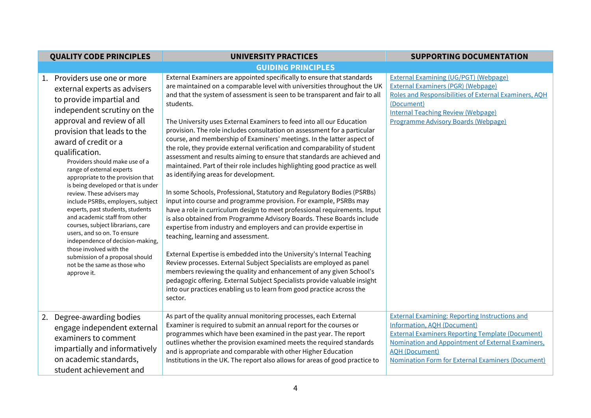| <b>QUALITY CODE PRINCIPLES</b>                                                                                                                                                                                                                                                                                                                                                                                                                                                                                                                                                                                                                                                                                                         | <b>UNIVERSITY PRACTICES</b>                                                                                                                                                                                                                                                                                                                                                                                                                                                                                                                                                                                                                                                                                                                                                                                                                                                                                                                                                                                                                                                                                                                                                                                                                                                                                                                                                                                                                                                                                                                                             | <b>SUPPORTING DOCUMENTATION</b>                                                                                                                                                                                                                                                                  |
|----------------------------------------------------------------------------------------------------------------------------------------------------------------------------------------------------------------------------------------------------------------------------------------------------------------------------------------------------------------------------------------------------------------------------------------------------------------------------------------------------------------------------------------------------------------------------------------------------------------------------------------------------------------------------------------------------------------------------------------|-------------------------------------------------------------------------------------------------------------------------------------------------------------------------------------------------------------------------------------------------------------------------------------------------------------------------------------------------------------------------------------------------------------------------------------------------------------------------------------------------------------------------------------------------------------------------------------------------------------------------------------------------------------------------------------------------------------------------------------------------------------------------------------------------------------------------------------------------------------------------------------------------------------------------------------------------------------------------------------------------------------------------------------------------------------------------------------------------------------------------------------------------------------------------------------------------------------------------------------------------------------------------------------------------------------------------------------------------------------------------------------------------------------------------------------------------------------------------------------------------------------------------------------------------------------------------|--------------------------------------------------------------------------------------------------------------------------------------------------------------------------------------------------------------------------------------------------------------------------------------------------|
|                                                                                                                                                                                                                                                                                                                                                                                                                                                                                                                                                                                                                                                                                                                                        | <b>GUIDING PRINCIPLES</b>                                                                                                                                                                                                                                                                                                                                                                                                                                                                                                                                                                                                                                                                                                                                                                                                                                                                                                                                                                                                                                                                                                                                                                                                                                                                                                                                                                                                                                                                                                                                               |                                                                                                                                                                                                                                                                                                  |
| 1. Providers use one or more<br>external experts as advisers<br>to provide impartial and<br>independent scrutiny on the<br>approval and review of all<br>provision that leads to the<br>award of credit or a<br>qualification.<br>Providers should make use of a<br>range of external experts<br>appropriate to the provision that<br>is being developed or that is under<br>review. These advisers may<br>include PSRBs, employers, subject<br>experts, past students, students<br>and academic staff from other<br>courses, subject librarians, care<br>users, and so on. To ensure<br>independence of decision-making,<br>those involved with the<br>submission of a proposal should<br>not be the same as those who<br>approve it. | External Examiners are appointed specifically to ensure that standards<br>are maintained on a comparable level with universities throughout the UK<br>and that the system of assessment is seen to be transparent and fair to all<br>students.<br>The University uses External Examiners to feed into all our Education<br>provision. The role includes consultation on assessment for a particular<br>course, and membership of Examiners' meetings. In the latter aspect of<br>the role, they provide external verification and comparability of student<br>assessment and results aiming to ensure that standards are achieved and<br>maintained. Part of their role includes highlighting good practice as well<br>as identifying areas for development.<br>In some Schools, Professional, Statutory and Regulatory Bodies (PSRBs)<br>input into course and programme provision. For example, PSRBs may<br>have a role in curriculum design to meet professional requirements. Input<br>is also obtained from Programme Advisory Boards. These Boards include<br>expertise from industry and employers and can provide expertise in<br>teaching, learning and assessment.<br>External Expertise is embedded into the University's Internal Teaching<br>Review processes. External Subject Specialists are employed as panel<br>members reviewing the quality and enhancement of any given School's<br>pedagogic offering. External Subject Specialists provide valuable insight<br>into our practices enabling us to learn from good practice across the<br>sector. | <b>External Examining (UG/PGT) (Webpage)</b><br><b>External Examiners (PGR) (Webpage)</b><br>Roles and Responsibilities of External Examiners, AOH<br>(Document)<br><b>Internal Teaching Review (Webpage)</b><br><b>Programme Advisory Boards (Webpage)</b>                                      |
| 2. Degree-awarding bodies<br>engage independent external<br>examiners to comment<br>impartially and informatively<br>on academic standards,<br>student achievement and                                                                                                                                                                                                                                                                                                                                                                                                                                                                                                                                                                 | As part of the quality annual monitoring processes, each External<br>Examiner is required to submit an annual report for the courses or<br>programmes which have been examined in the past year. The report<br>outlines whether the provision examined meets the required standards<br>and is appropriate and comparable with other Higher Education<br>Institutions in the UK. The report also allows for areas of good practice to                                                                                                                                                                                                                                                                                                                                                                                                                                                                                                                                                                                                                                                                                                                                                                                                                                                                                                                                                                                                                                                                                                                                    | <b>External Examining: Reporting Instructions and</b><br><b>Information, AOH (Document)</b><br><b>External Examiners Reporting Template (Document)</b><br>Nomination and Appointment of External Examiners,<br><b>AQH (Document)</b><br><b>Nomination Form for External Examiners (Document)</b> |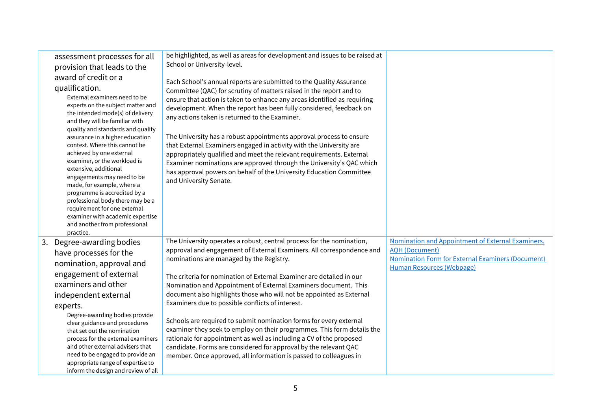| assessment processes for all<br>provision that leads to the<br>award of credit or a<br>qualification.<br>External examiners need to be<br>experts on the subject matter and<br>the intended mode(s) of delivery<br>and they will be familiar with<br>quality and standards and quality<br>assurance in a higher education<br>context. Where this cannot be<br>achieved by one external<br>examiner, or the workload is<br>extensive, additional<br>engagements may need to be<br>made, for example, where a<br>programme is accredited by a<br>professional body there may be a<br>requirement for one external<br>examiner with academic expertise<br>and another from professional | be highlighted, as well as areas for development and issues to be raised at<br>School or University-level.<br>Each School's annual reports are submitted to the Quality Assurance<br>Committee (QAC) for scrutiny of matters raised in the report and to<br>ensure that action is taken to enhance any areas identified as requiring<br>development. When the report has been fully considered, feedback on<br>any actions taken is returned to the Examiner.<br>The University has a robust appointments approval process to ensure<br>that External Examiners engaged in activity with the University are<br>appropriately qualified and meet the relevant requirements. External<br>Examiner nominations are approved through the University's QAC which<br>has approval powers on behalf of the University Education Committee<br>and University Senate. |                                                                                                                                                                            |
|--------------------------------------------------------------------------------------------------------------------------------------------------------------------------------------------------------------------------------------------------------------------------------------------------------------------------------------------------------------------------------------------------------------------------------------------------------------------------------------------------------------------------------------------------------------------------------------------------------------------------------------------------------------------------------------|--------------------------------------------------------------------------------------------------------------------------------------------------------------------------------------------------------------------------------------------------------------------------------------------------------------------------------------------------------------------------------------------------------------------------------------------------------------------------------------------------------------------------------------------------------------------------------------------------------------------------------------------------------------------------------------------------------------------------------------------------------------------------------------------------------------------------------------------------------------|----------------------------------------------------------------------------------------------------------------------------------------------------------------------------|
| practice.<br>3. Degree-awarding bodies<br>have processes for the<br>nomination, approval and<br>engagement of external<br>examiners and other<br>independent external<br>experts.<br>Degree-awarding bodies provide<br>clear guidance and procedures<br>that set out the nomination<br>process for the external examiners<br>and other external advisers that<br>need to be engaged to provide an<br>appropriate range of expertise to<br>inform the design and review of all                                                                                                                                                                                                        | The University operates a robust, central process for the nomination,<br>approval and engagement of External Examiners. All correspondence and<br>nominations are managed by the Registry.<br>The criteria for nomination of External Examiner are detailed in our<br>Nomination and Appointment of External Examiners document. This<br>document also highlights those who will not be appointed as External<br>Examiners due to possible conflicts of interest.<br>Schools are required to submit nomination forms for every external<br>examiner they seek to employ on their programmes. This form details the<br>rationale for appointment as well as including a CV of the proposed<br>candidate. Forms are considered for approval by the relevant QAC<br>member. Once approved, all information is passed to colleagues in                           | Nomination and Appointment of External Examiners,<br><b>AOH (Document)</b><br><b>Nomination Form for External Examiners (Document)</b><br><b>Human Resources (Webpage)</b> |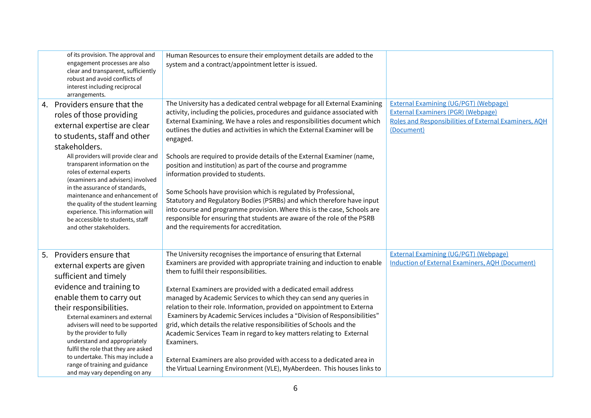| of its provision. The approval and<br>engagement processes are also<br>clear and transparent, sufficiently<br>robust and avoid conflicts of<br>interest including reciprocal<br>arrangements.                                                                                                                                                                                                                                                                                                        | Human Resources to ensure their employment details are added to the<br>system and a contract/appointment letter is issued.                                                                                                                                                                                                                                                                                                                                                                                                                                                                                                                                                                                                                                                                                                                                  |                                                                                                                                                                  |
|------------------------------------------------------------------------------------------------------------------------------------------------------------------------------------------------------------------------------------------------------------------------------------------------------------------------------------------------------------------------------------------------------------------------------------------------------------------------------------------------------|-------------------------------------------------------------------------------------------------------------------------------------------------------------------------------------------------------------------------------------------------------------------------------------------------------------------------------------------------------------------------------------------------------------------------------------------------------------------------------------------------------------------------------------------------------------------------------------------------------------------------------------------------------------------------------------------------------------------------------------------------------------------------------------------------------------------------------------------------------------|------------------------------------------------------------------------------------------------------------------------------------------------------------------|
| 4. Providers ensure that the<br>roles of those providing<br>external expertise are clear<br>to students, staff and other<br>stakeholders.<br>All providers will provide clear and<br>transparent information on the<br>roles of external experts<br>(examiners and advisers) involved<br>in the assurance of standards,<br>maintenance and enhancement of<br>the quality of the student learning<br>experience. This information will<br>be accessible to students, staff<br>and other stakeholders. | The University has a dedicated central webpage for all External Examining<br>activity, including the policies, procedures and guidance associated with<br>External Examining. We have a roles and responsibilities document which<br>outlines the duties and activities in which the External Examiner will be<br>engaged.<br>Schools are required to provide details of the External Examiner (name,<br>position and institution) as part of the course and programme<br>information provided to students.<br>Some Schools have provision which is regulated by Professional,<br>Statutory and Regulatory Bodies (PSRBs) and which therefore have input<br>into course and programme provision. Where this is the case, Schools are<br>responsible for ensuring that students are aware of the role of the PSRB<br>and the requirements for accreditation. | <b>External Examining (UG/PGT) (Webpage)</b><br><b>External Examiners (PGR) (Webpage)</b><br>Roles and Responsibilities of External Examiners, AOH<br>(Document) |
| 5. Providers ensure that<br>external experts are given<br>sufficient and timely<br>evidence and training to<br>enable them to carry out<br>their responsibilities.<br>External examiners and external<br>advisers will need to be supported<br>by the provider to fully<br>understand and appropriately<br>fulfil the role that they are asked<br>to undertake. This may include a<br>range of training and guidance<br>and may vary depending on any                                                | The University recognises the importance of ensuring that External<br>Examiners are provided with appropriate training and induction to enable<br>them to fulfil their responsibilities.<br>External Examiners are provided with a dedicated email address<br>managed by Academic Services to which they can send any queries in<br>relation to their role. Information, provided on appointment to Externa<br>Examiners by Academic Services includes a "Division of Responsibilities"<br>grid, which details the relative responsibilities of Schools and the<br>Academic Services Team in regard to key matters relating to External<br>Examiners.<br>External Examiners are also provided with access to a dedicated area in<br>the Virtual Learning Environment (VLE), MyAberdeen. This houses links to                                                | <b>External Examining (UG/PGT) (Webpage)</b><br><b>Induction of External Examiners, AOH (Document)</b>                                                           |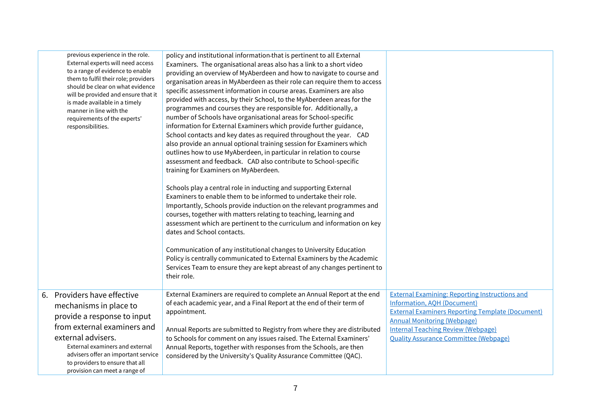| previous experience in the role.<br>External experts will need access<br>to a range of evidence to enable<br>them to fulfil their role; providers<br>should be clear on what evidence<br>will be provided and ensure that it<br>is made available in a timely<br>manner in line with the<br>requirements of the experts'<br>responsibilities. | policy and institutional information that is pertinent to all External<br>Examiners. The organisational areas also has a link to a short video<br>providing an overview of MyAberdeen and how to navigate to course and<br>organisation areas in MyAberdeen as their role can require them to access<br>specific assessment information in course areas. Examiners are also<br>provided with access, by their School, to the MyAberdeen areas for the<br>programmes and courses they are responsible for. Additionally, a<br>number of Schools have organisational areas for School-specific<br>information for External Examiners which provide further guidance,<br>School contacts and key dates as required throughout the year. CAD<br>also provide an annual optional training session for Examiners which<br>outlines how to use MyAberdeen, in particular in relation to course<br>assessment and feedback. CAD also contribute to School-specific<br>training for Examiners on MyAberdeen.<br>Schools play a central role in inducting and supporting External<br>Examiners to enable them to be informed to undertake their role.<br>Importantly, Schools provide induction on the relevant programmes and<br>courses, together with matters relating to teaching, learning and<br>assessment which are pertinent to the curriculum and information on key<br>dates and School contacts.<br>Communication of any institutional changes to University Education<br>Policy is centrally communicated to External Examiners by the Academic<br>Services Team to ensure they are kept abreast of any changes pertinent to<br>their role. |                                                                                                                                                                                                                                                                                           |
|-----------------------------------------------------------------------------------------------------------------------------------------------------------------------------------------------------------------------------------------------------------------------------------------------------------------------------------------------|------------------------------------------------------------------------------------------------------------------------------------------------------------------------------------------------------------------------------------------------------------------------------------------------------------------------------------------------------------------------------------------------------------------------------------------------------------------------------------------------------------------------------------------------------------------------------------------------------------------------------------------------------------------------------------------------------------------------------------------------------------------------------------------------------------------------------------------------------------------------------------------------------------------------------------------------------------------------------------------------------------------------------------------------------------------------------------------------------------------------------------------------------------------------------------------------------------------------------------------------------------------------------------------------------------------------------------------------------------------------------------------------------------------------------------------------------------------------------------------------------------------------------------------------------------------------------------------------------------------------------------------------|-------------------------------------------------------------------------------------------------------------------------------------------------------------------------------------------------------------------------------------------------------------------------------------------|
| 6. Providers have effective<br>mechanisms in place to<br>provide a response to input<br>from external examiners and<br>external advisers.<br>External examiners and external<br>advisers offer an important service<br>to providers to ensure that all<br>provision can meet a range of                                                       | External Examiners are required to complete an Annual Report at the end<br>of each academic year, and a Final Report at the end of their term of<br>appointment.<br>Annual Reports are submitted to Registry from where they are distributed<br>to Schools for comment on any issues raised. The External Examiners'<br>Annual Reports, together with responses from the Schools, are then<br>considered by the University's Quality Assurance Committee (QAC).                                                                                                                                                                                                                                                                                                                                                                                                                                                                                                                                                                                                                                                                                                                                                                                                                                                                                                                                                                                                                                                                                                                                                                                | <b>External Examining: Reporting Instructions and</b><br><b>Information, AOH (Document)</b><br><b>External Examiners Reporting Template (Document)</b><br><b>Annual Monitoring (Webpage)</b><br><b>Internal Teaching Review (Webpage)</b><br><b>Quality Assurance Committee (Webpage)</b> |